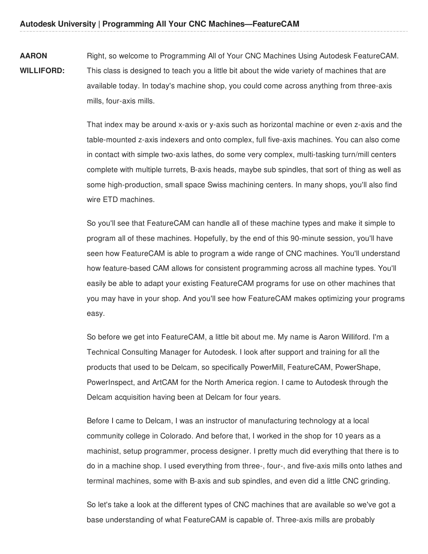**AARON WILLIFORD:** Right, so welcome to Programming All of Your CNC Machines Using Autodesk FeatureCAM. This class is designed to teach you a little bit about the wide variety of machines that are available today. In today's machine shop, you could come across anything from three-axis mills, four-axis mills.

> That index may be around x-axis or y-axis such as horizontal machine or even z-axis and the table-mounted z-axis indexers and onto complex, full five-axis machines. You can also come in contact with simple two-axis lathes, do some very complex, multi-tasking turn/mill centers complete with multiple turrets, B-axis heads, maybe sub spindles, that sort of thing as well as some high-production, small space Swiss machining centers. In many shops, you'll also find wire ETD machines.

> So you'll see that FeatureCAM can handle all of these machine types and make it simple to program all of these machines. Hopefully, by the end of this 90-minute session, you'll have seen how FeatureCAM is able to program a wide range of CNC machines. You'll understand how feature-based CAM allows for consistent programming across all machine types. You'll easily be able to adapt your existing FeatureCAM programs for use on other machines that you may have in your shop. And you'll see how FeatureCAM makes optimizing your programs easy.

So before we get into FeatureCAM, a little bit about me. My name is Aaron Williford. I'm a Technical Consulting Manager for Autodesk. I look after support and training for all the products that used to be Delcam, so specifically PowerMill, FeatureCAM, PowerShape, PowerInspect, and ArtCAM for the North America region. I came to Autodesk through the Delcam acquisition having been at Delcam for four years.

Before I came to Delcam, I was an instructor of manufacturing technology at a local community college in Colorado. And before that, I worked in the shop for 10 years as a machinist, setup programmer, process designer. I pretty much did everything that there is to do in a machine shop. I used everything from three-, four-, and five-axis mills onto lathes and terminal machines, some with B-axis and sub spindles, and even did a little CNC grinding.

So let's take a look at the different types of CNC machines that are available so we've got a base understanding of what FeatureCAM is capable of. Three-axis mills are probably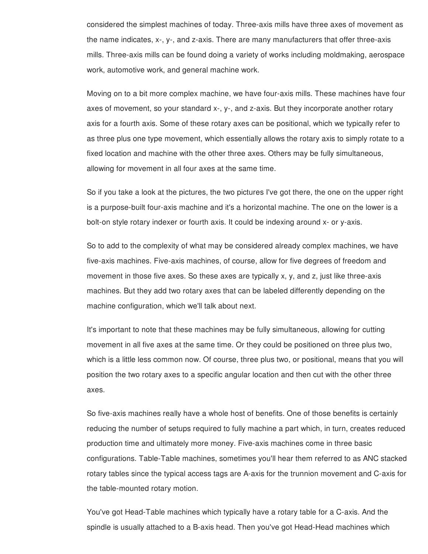considered the simplest machines of today. Three-axis mills have three axes of movement as the name indicates, x-, y-, and z-axis. There are many manufacturers that offer three-axis mills. Three-axis mills can be found doing a variety of works including moldmaking, aerospace work, automotive work, and general machine work.

Moving on to a bit more complex machine, we have four-axis mills. These machines have four axes of movement, so your standard x-, y-, and z-axis. But they incorporate another rotary axis for a fourth axis. Some of these rotary axes can be positional, which we typically refer to as three plus one type movement, which essentially allows the rotary axis to simply rotate to a fixed location and machine with the other three axes. Others may be fully simultaneous, allowing for movement in all four axes at the same time.

So if you take a look at the pictures, the two pictures I've got there, the one on the upper right is a purpose-built four-axis machine and it's a horizontal machine. The one on the lower is a bolt-on style rotary indexer or fourth axis. It could be indexing around x- or y-axis.

So to add to the complexity of what may be considered already complex machines, we have five-axis machines. Five-axis machines, of course, allow for five degrees of freedom and movement in those five axes. So these axes are typically x, y, and z, just like three-axis machines. But they add two rotary axes that can be labeled differently depending on the machine configuration, which we'll talk about next.

It's important to note that these machines may be fully simultaneous, allowing for cutting movement in all five axes at the same time. Or they could be positioned on three plus two, which is a little less common now. Of course, three plus two, or positional, means that you will position the two rotary axes to a specific angular location and then cut with the other three axes.

So five-axis machines really have a whole host of benefits. One of those benefits is certainly reducing the number of setups required to fully machine a part which, in turn, creates reduced production time and ultimately more money. Five-axis machines come in three basic configurations. Table-Table machines, sometimes you'll hear them referred to as ANC stacked rotary tables since the typical access tags are A-axis for the trunnion movement and C-axis for the table-mounted rotary motion.

You've got Head-Table machines which typically have a rotary table for a C-axis. And the spindle is usually attached to a B-axis head. Then you've got Head-Head machines which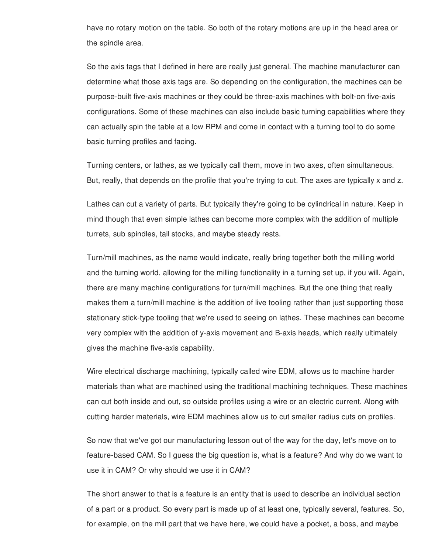have no rotary motion on the table. So both of the rotary motions are up in the head area or the spindle area.

So the axis tags that I defined in here are really just general. The machine manufacturer can determine what those axis tags are. So depending on the configuration, the machines can be purpose-built five-axis machines or they could be three-axis machines with bolt-on five-axis configurations. Some of these machines can also include basic turning capabilities where they can actually spin the table at a low RPM and come in contact with a turning tool to do some basic turning profiles and facing.

Turning centers, or lathes, as we typically call them, move in two axes, often simultaneous. But, really, that depends on the profile that you're trying to cut. The axes are typically x and z.

Lathes can cut a variety of parts. But typically they're going to be cylindrical in nature. Keep in mind though that even simple lathes can become more complex with the addition of multiple turrets, sub spindles, tail stocks, and maybe steady rests.

Turn/mill machines, as the name would indicate, really bring together both the milling world and the turning world, allowing for the milling functionality in a turning set up, if you will. Again, there are many machine configurations for turn/mill machines. But the one thing that really makes them a turn/mill machine is the addition of live tooling rather than just supporting those stationary stick-type tooling that we're used to seeing on lathes. These machines can become very complex with the addition of y-axis movement and B-axis heads, which really ultimately gives the machine five-axis capability.

Wire electrical discharge machining, typically called wire EDM, allows us to machine harder materials than what are machined using the traditional machining techniques. These machines can cut both inside and out, so outside profiles using a wire or an electric current. Along with cutting harder materials, wire EDM machines allow us to cut smaller radius cuts on profiles.

So now that we've got our manufacturing lesson out of the way for the day, let's move on to feature-based CAM. So I guess the big question is, what is a feature? And why do we want to use it in CAM? Or why should we use it in CAM?

The short answer to that is a feature is an entity that is used to describe an individual section of a part or a product. So every part is made up of at least one, typically several, features. So, for example, on the mill part that we have here, we could have a pocket, a boss, and maybe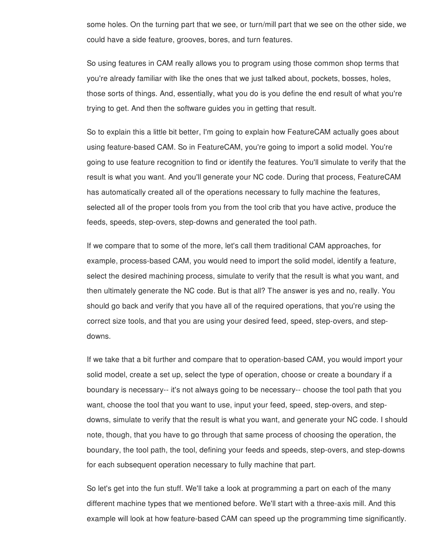some holes. On the turning part that we see, or turn/mill part that we see on the other side, we could have a side feature, grooves, bores, and turn features.

So using features in CAM really allows you to program using those common shop terms that you're already familiar with like the ones that we just talked about, pockets, bosses, holes, those sorts of things. And, essentially, what you do is you define the end result of what you're trying to get. And then the software guides you in getting that result.

So to explain this a little bit better, I'm going to explain how FeatureCAM actually goes about using feature-based CAM. So in FeatureCAM, you're going to import a solid model. You're going to use feature recognition to find or identify the features. You'll simulate to verify that the result is what you want. And you'll generate your NC code. During that process, FeatureCAM has automatically created all of the operations necessary to fully machine the features, selected all of the proper tools from you from the tool crib that you have active, produce the feeds, speeds, step-overs, step-downs and generated the tool path.

If we compare that to some of the more, let's call them traditional CAM approaches, for example, process-based CAM, you would need to import the solid model, identify a feature, select the desired machining process, simulate to verify that the result is what you want, and then ultimately generate the NC code. But is that all? The answer is yes and no, really. You should go back and verify that you have all of the required operations, that you're using the correct size tools, and that you are using your desired feed, speed, step-overs, and stepdowns.

If we take that a bit further and compare that to operation-based CAM, you would import your solid model, create a set up, select the type of operation, choose or create a boundary if a boundary is necessary-- it's not always going to be necessary-- choose the tool path that you want, choose the tool that you want to use, input your feed, speed, step-overs, and stepdowns, simulate to verify that the result is what you want, and generate your NC code. I should note, though, that you have to go through that same process of choosing the operation, the boundary, the tool path, the tool, defining your feeds and speeds, step-overs, and step-downs for each subsequent operation necessary to fully machine that part.

So let's get into the fun stuff. We'll take a look at programming a part on each of the many different machine types that we mentioned before. We'll start with a three-axis mill. And this example will look at how feature-based CAM can speed up the programming time significantly.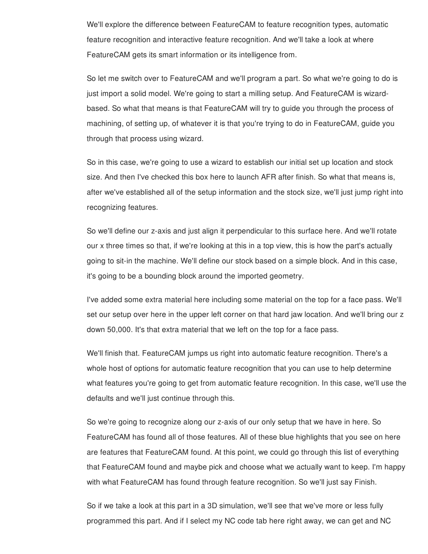We'll explore the difference between FeatureCAM to feature recognition types, automatic feature recognition and interactive feature recognition. And we'll take a look at where FeatureCAM gets its smart information or its intelligence from.

So let me switch over to FeatureCAM and we'll program a part. So what we're going to do is just import a solid model. We're going to start a milling setup. And FeatureCAM is wizardbased. So what that means is that FeatureCAM will try to guide you through the process of machining, of setting up, of whatever it is that you're trying to do in FeatureCAM, guide you through that process using wizard.

So in this case, we're going to use a wizard to establish our initial set up location and stock size. And then I've checked this box here to launch AFR after finish. So what that means is, after we've established all of the setup information and the stock size, we'll just jump right into recognizing features.

So we'll define our z-axis and just align it perpendicular to this surface here. And we'll rotate our x three times so that, if we're looking at this in a top view, this is how the part's actually going to sit-in the machine. We'll define our stock based on a simple block. And in this case, it's going to be a bounding block around the imported geometry.

I've added some extra material here including some material on the top for a face pass. We'll set our setup over here in the upper left corner on that hard jaw location. And we'll bring our z down 50,000. It's that extra material that we left on the top for a face pass.

We'll finish that. FeatureCAM jumps us right into automatic feature recognition. There's a whole host of options for automatic feature recognition that you can use to help determine what features you're going to get from automatic feature recognition. In this case, we'll use the defaults and we'll just continue through this.

So we're going to recognize along our z-axis of our only setup that we have in here. So FeatureCAM has found all of those features. All of these blue highlights that you see on here are features that FeatureCAM found. At this point, we could go through this list of everything that FeatureCAM found and maybe pick and choose what we actually want to keep. I'm happy with what FeatureCAM has found through feature recognition. So we'll just say Finish.

So if we take a look at this part in a 3D simulation, we'll see that we've more or less fully programmed this part. And if I select my NC code tab here right away, we can get and NC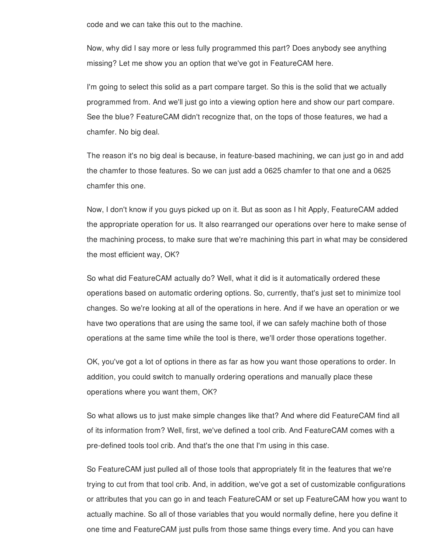code and we can take this out to the machine.

Now, why did I say more or less fully programmed this part? Does anybody see anything missing? Let me show you an option that we've got in FeatureCAM here.

I'm going to select this solid as a part compare target. So this is the solid that we actually programmed from. And we'll just go into a viewing option here and show our part compare. See the blue? FeatureCAM didn't recognize that, on the tops of those features, we had a chamfer. No big deal.

The reason it's no big deal is because, in feature-based machining, we can just go in and add the chamfer to those features. So we can just add a 0625 chamfer to that one and a 0625 chamfer this one.

Now, I don't know if you guys picked up on it. But as soon as I hit Apply, FeatureCAM added the appropriate operation for us. It also rearranged our operations over here to make sense of the machining process, to make sure that we're machining this part in what may be considered the most efficient way, OK?

So what did FeatureCAM actually do? Well, what it did is it automatically ordered these operations based on automatic ordering options. So, currently, that's just set to minimize tool changes. So we're looking at all of the operations in here. And if we have an operation or we have two operations that are using the same tool, if we can safely machine both of those operations at the same time while the tool is there, we'll order those operations together.

OK, you've got a lot of options in there as far as how you want those operations to order. In addition, you could switch to manually ordering operations and manually place these operations where you want them, OK?

So what allows us to just make simple changes like that? And where did FeatureCAM find all of its information from? Well, first, we've defined a tool crib. And FeatureCAM comes with a pre-defined tools tool crib. And that's the one that I'm using in this case.

So FeatureCAM just pulled all of those tools that appropriately fit in the features that we're trying to cut from that tool crib. And, in addition, we've got a set of customizable configurations or attributes that you can go in and teach FeatureCAM or set up FeatureCAM how you want to actually machine. So all of those variables that you would normally define, here you define it one time and FeatureCAM just pulls from those same things every time. And you can have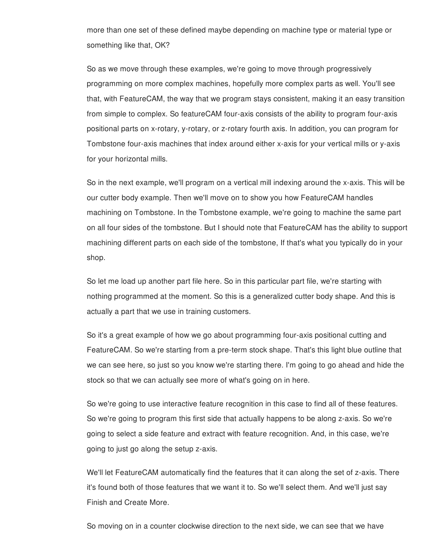more than one set of these defined maybe depending on machine type or material type or something like that, OK?

So as we move through these examples, we're going to move through progressively programming on more complex machines, hopefully more complex parts as well. You'll see that, with FeatureCAM, the way that we program stays consistent, making it an easy transition from simple to complex. So featureCAM four-axis consists of the ability to program four-axis positional parts on x-rotary, y-rotary, or z-rotary fourth axis. In addition, you can program for Tombstone four-axis machines that index around either x-axis for your vertical mills or y-axis for your horizontal mills.

So in the next example, we'll program on a vertical mill indexing around the x-axis. This will be our cutter body example. Then we'll move on to show you how FeatureCAM handles machining on Tombstone. In the Tombstone example, we're going to machine the same part on all four sides of the tombstone. But I should note that FeatureCAM has the ability to support machining different parts on each side of the tombstone, If that's what you typically do in your shop.

So let me load up another part file here. So in this particular part file, we're starting with nothing programmed at the moment. So this is a generalized cutter body shape. And this is actually a part that we use in training customers.

So it's a great example of how we go about programming four-axis positional cutting and FeatureCAM. So we're starting from a pre-term stock shape. That's this light blue outline that we can see here, so just so you know we're starting there. I'm going to go ahead and hide the stock so that we can actually see more of what's going on in here.

So we're going to use interactive feature recognition in this case to find all of these features. So we're going to program this first side that actually happens to be along z-axis. So we're going to select a side feature and extract with feature recognition. And, in this case, we're going to just go along the setup z-axis.

We'll let FeatureCAM automatically find the features that it can along the set of z-axis. There it's found both of those features that we want it to. So we'll select them. And we'll just say Finish and Create More.

So moving on in a counter clockwise direction to the next side, we can see that we have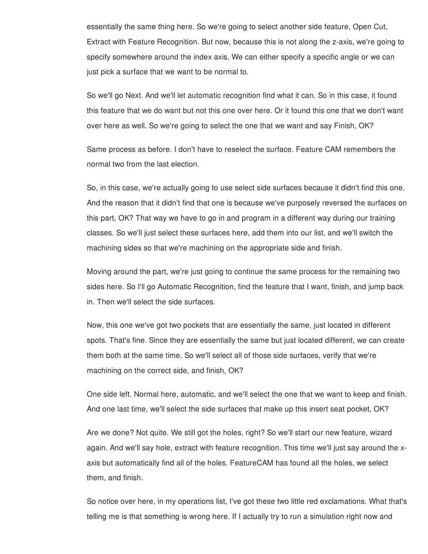essentially the same thing here. So we're going to select another side feature, Open Cut, Extract with Feature Recognition. But now, because this is not along the z-axis, we're going to specify somewhere around the index axis. We can either specify a specific angle or we can just pick a surface that we want to be normal to.

So we'll go Next. And we'll let automatic recognition find what it can. So in this case, it found this feature that we do want but not this one over here. Or it found this one that we don't want over here as well. So we're going to select the one that we want and say Finish, OK?

Same process as before. I don't have to reselect the surface. Feature CAM remembers the normal two from the last election.

So, in this case, we're actually going to use select side surfaces because it didn't find this one. And the reason that it didn't find that one is because we've purposely reversed the surfaces on this part, OK? That way we have to go in and program in a different way during our training classes. So we'll just select these surfaces here, add them into our list, and we'll switch the machining sides so that we're machining on the appropriate side and finish.

Moving around the part, we're just going to continue the same process for the remaining two sides here. So I'll go Automatic Recognition, find the feature that I want, finish, and jump back in. Then we'll select the side surfaces.

Now, this one we've got two pockets that are essentially the same, just located in different spots. That's fine. Since they are essentially the same but just located different, we can create them both at the same time. So we'll select all of those side surfaces, verify that we're machining on the correct side, and finish, OK?

One side left. Normal here, automatic, and we'll select the one that we want to keep and finish. And one last time, we'll select the side surfaces that make up this insert seat pocket, OK?

Are we done? Not quite. We still got the holes, right? So we'll start our new feature, wizard again. And we'll say hole, extract with feature recognition. This time we'll just say around the xaxis but automatically find all of the holes. FeatureCAM has found all the holes, we select them, and finish.

So notice over here, in my operations list, I've got these two little red exclamations. What that's telling me is that something is wrong here. If I actually try to run a simulation right now and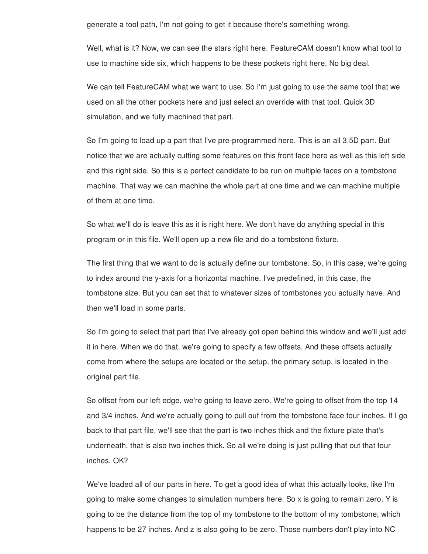generate a tool path, I'm not going to get it because there's something wrong.

Well, what is it? Now, we can see the stars right here. FeatureCAM doesn't know what tool to use to machine side six, which happens to be these pockets right here. No big deal.

We can tell FeatureCAM what we want to use. So I'm just going to use the same tool that we used on all the other pockets here and just select an override with that tool. Quick 3D simulation, and we fully machined that part.

So I'm going to load up a part that I've pre-programmed here. This is an all 3.5D part. But notice that we are actually cutting some features on this front face here as well as this left side and this right side. So this is a perfect candidate to be run on multiple faces on a tombstone machine. That way we can machine the whole part at one time and we can machine multiple of them at one time.

So what we'll do is leave this as it is right here. We don't have do anything special in this program or in this file. We'll open up a new file and do a tombstone fixture.

The first thing that we want to do is actually define our tombstone. So, in this case, we're going to index around the y-axis for a horizontal machine. I've predefined, in this case, the tombstone size. But you can set that to whatever sizes of tombstones you actually have. And then we'll load in some parts.

So I'm going to select that part that I've already got open behind this window and we'll just add it in here. When we do that, we're going to specify a few offsets. And these offsets actually come from where the setups are located or the setup, the primary setup, is located in the original part file.

So offset from our left edge, we're going to leave zero. We're going to offset from the top 14 and 3/4 inches. And we're actually going to pull out from the tombstone face four inches. If I go back to that part file, we'll see that the part is two inches thick and the fixture plate that's underneath, that is also two inches thick. So all we're doing is just pulling that out that four inches. OK?

We've loaded all of our parts in here. To get a good idea of what this actually looks, like I'm going to make some changes to simulation numbers here. So x is going to remain zero. Y is going to be the distance from the top of my tombstone to the bottom of my tombstone, which happens to be 27 inches. And z is also going to be zero. Those numbers don't play into NC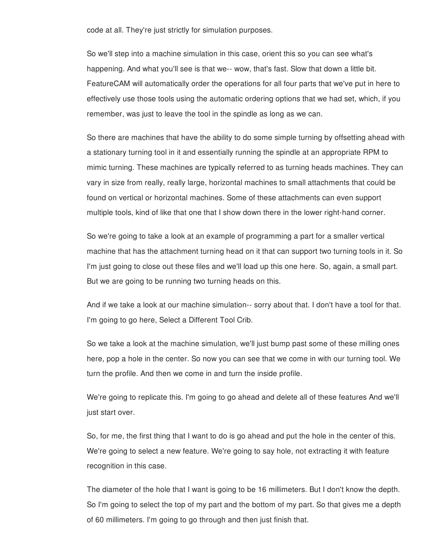code at all. They're just strictly for simulation purposes.

So we'll step into a machine simulation in this case, orient this so you can see what's happening. And what you'll see is that we-- wow, that's fast. Slow that down a little bit. FeatureCAM will automatically order the operations for all four parts that we've put in here to effectively use those tools using the automatic ordering options that we had set, which, if you remember, was just to leave the tool in the spindle as long as we can.

So there are machines that have the ability to do some simple turning by offsetting ahead with a stationary turning tool in it and essentially running the spindle at an appropriate RPM to mimic turning. These machines are typically referred to as turning heads machines. They can vary in size from really, really large, horizontal machines to small attachments that could be found on vertical or horizontal machines. Some of these attachments can even support multiple tools, kind of like that one that I show down there in the lower right-hand corner.

So we're going to take a look at an example of programming a part for a smaller vertical machine that has the attachment turning head on it that can support two turning tools in it. So I'm just going to close out these files and we'll load up this one here. So, again, a small part. But we are going to be running two turning heads on this.

And if we take a look at our machine simulation-- sorry about that. I don't have a tool for that. I'm going to go here, Select a Different Tool Crib.

So we take a look at the machine simulation, we'll just bump past some of these milling ones here, pop a hole in the center. So now you can see that we come in with our turning tool. We turn the profile. And then we come in and turn the inside profile.

We're going to replicate this. I'm going to go ahead and delete all of these features And we'll just start over.

So, for me, the first thing that I want to do is go ahead and put the hole in the center of this. We're going to select a new feature. We're going to say hole, not extracting it with feature recognition in this case.

The diameter of the hole that I want is going to be 16 millimeters. But I don't know the depth. So I'm going to select the top of my part and the bottom of my part. So that gives me a depth of 60 millimeters. I'm going to go through and then just finish that.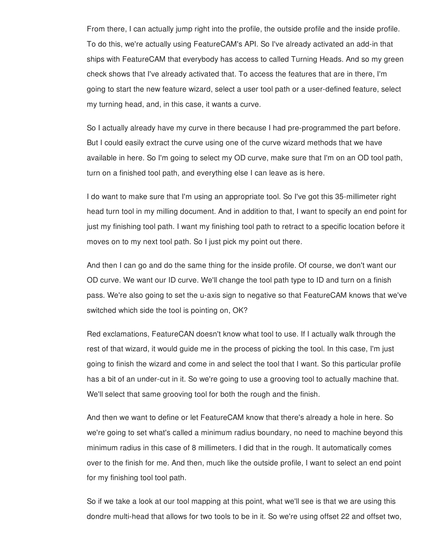From there, I can actually jump right into the profile, the outside profile and the inside profile. To do this, we're actually using FeatureCAM's API. So I've already activated an add-in that ships with FeatureCAM that everybody has access to called Turning Heads. And so my green check shows that I've already activated that. To access the features that are in there, I'm going to start the new feature wizard, select a user tool path or a user-defined feature, select my turning head, and, in this case, it wants a curve.

So I actually already have my curve in there because I had pre-programmed the part before. But I could easily extract the curve using one of the curve wizard methods that we have available in here. So I'm going to select my OD curve, make sure that I'm on an OD tool path, turn on a finished tool path, and everything else I can leave as is here.

I do want to make sure that I'm using an appropriate tool. So I've got this 35-millimeter right head turn tool in my milling document. And in addition to that, I want to specify an end point for just my finishing tool path. I want my finishing tool path to retract to a specific location before it moves on to my next tool path. So I just pick my point out there.

And then I can go and do the same thing for the inside profile. Of course, we don't want our OD curve. We want our ID curve. We'll change the tool path type to ID and turn on a finish pass. We're also going to set the u-axis sign to negative so that FeatureCAM knows that we've switched which side the tool is pointing on, OK?

Red exclamations, FeatureCAN doesn't know what tool to use. If I actually walk through the rest of that wizard, it would guide me in the process of picking the tool. In this case, I'm just going to finish the wizard and come in and select the tool that I want. So this particular profile has a bit of an under-cut in it. So we're going to use a grooving tool to actually machine that. We'll select that same grooving tool for both the rough and the finish.

And then we want to define or let FeatureCAM know that there's already a hole in here. So we're going to set what's called a minimum radius boundary, no need to machine beyond this minimum radius in this case of 8 millimeters. I did that in the rough. It automatically comes over to the finish for me. And then, much like the outside profile, I want to select an end point for my finishing tool tool path.

So if we take a look at our tool mapping at this point, what we'll see is that we are using this dondre multi-head that allows for two tools to be in it. So we're using offset 22 and offset two,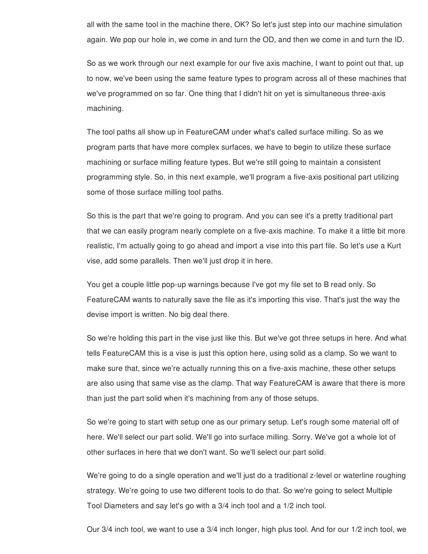all with the same tool in the machine there, OK? So let's just step into our machine simulation again. We pop our hole in, we come in and turn the OD, and then we come in and turn the ID.

So as we work through our next example for our five axis machine, I want to point out that, up to now, we've been using the same feature types to program across all of these machines that we've programmed on so far. One thing that I didn't hit on yet is simultaneous three-axis machining.

The tool paths all show up in FeatureCAM under what's called surface milling. So as we program parts that have more complex surfaces, we have to begin to utilize these surface machining or surface milling feature types. But we're still going to maintain a consistent programming style. So, in this next example, we'll program a five-axis positional part utilizing some of those surface milling tool paths.

So this is the part that we're going to program. And you can see it's a pretty traditional part that we can easily program nearly complete on a five-axis machine. To make it a little bit more realistic, I'm actually going to go ahead and import a vise into this part file. So let's use a Kurt vise, add some parallels. Then we'll just drop it in here.

You get a couple little pop-up warnings because I've got my file set to B read only. So FeatureCAM wants to naturally save the file as it's importing this vise. That's just the way the devise import is written. No big deal there.

So we're holding this part in the vise just like this. But we've got three setups in here. And what tells FeatureCAM this is a vise is just this option here, using solid as a clamp. So we want to make sure that, since we're actually running this on a five-axis machine, these other setups are also using that same vise as the clamp. That way FeatureCAM is aware that there is more than just the part solid when it's machining from any of those setups.

So we're going to start with setup one as our primary setup. Let's rough some material off of here. We'll select our part solid. We'll go into surface milling. Sorry. We've got a whole lot of other surfaces in here that we don't want. So we'll select our part solid.

We're going to do a single operation and we'll just do a traditional z-level or waterline roughing strategy. We're going to use two different tools to do that. So we're going to select Multiple Tool Diameters and say let's go with a 3/4 inch tool and a 1/2 inch tool.

Our 3/4 inch tool, we want to use a 3/4 inch longer, high plus tool. And for our 1/2 inch tool, we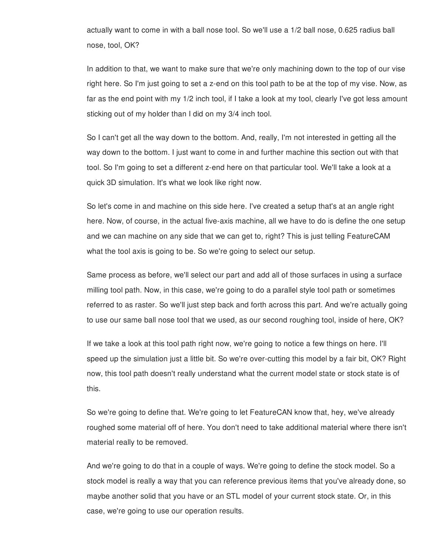actually want to come in with a ball nose tool. So we'll use a 1/2 ball nose, 0.625 radius ball nose, tool, OK?

In addition to that, we want to make sure that we're only machining down to the top of our vise right here. So I'm just going to set a z-end on this tool path to be at the top of my vise. Now, as far as the end point with my 1/2 inch tool, if I take a look at my tool, clearly I've got less amount sticking out of my holder than I did on my 3/4 inch tool.

So I can't get all the way down to the bottom. And, really, I'm not interested in getting all the way down to the bottom. I just want to come in and further machine this section out with that tool. So I'm going to set a different z-end here on that particular tool. We'll take a look at a quick 3D simulation. It's what we look like right now.

So let's come in and machine on this side here. I've created a setup that's at an angle right here. Now, of course, in the actual five-axis machine, all we have to do is define the one setup and we can machine on any side that we can get to, right? This is just telling FeatureCAM what the tool axis is going to be. So we're going to select our setup.

Same process as before, we'll select our part and add all of those surfaces in using a surface milling tool path. Now, in this case, we're going to do a parallel style tool path or sometimes referred to as raster. So we'll just step back and forth across this part. And we're actually going to use our same ball nose tool that we used, as our second roughing tool, inside of here, OK?

If we take a look at this tool path right now, we're going to notice a few things on here. I'll speed up the simulation just a little bit. So we're over-cutting this model by a fair bit, OK? Right now, this tool path doesn't really understand what the current model state or stock state is of this.

So we're going to define that. We're going to let FeatureCAN know that, hey, we've already roughed some material off of here. You don't need to take additional material where there isn't material really to be removed.

And we're going to do that in a couple of ways. We're going to define the stock model. So a stock model is really a way that you can reference previous items that you've already done, so maybe another solid that you have or an STL model of your current stock state. Or, in this case, we're going to use our operation results.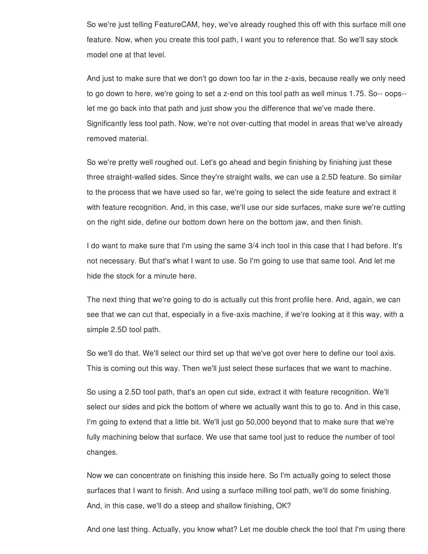So we're just telling FeatureCAM, hey, we've already roughed this off with this surface mill one feature. Now, when you create this tool path, I want you to reference that. So we'll say stock model one at that level.

And just to make sure that we don't go down too far in the z-axis, because really we only need to go down to here, we're going to set a z-end on this tool path as well minus 1.75. So-- oops- let me go back into that path and just show you the difference that we've made there. Significantly less tool path. Now, we're not over-cutting that model in areas that we've already removed material.

So we're pretty well roughed out. Let's go ahead and begin finishing by finishing just these three straight-walled sides. Since they're straight walls, we can use a 2.5D feature. So similar to the process that we have used so far, we're going to select the side feature and extract it with feature recognition. And, in this case, we'll use our side surfaces, make sure we're cutting on the right side, define our bottom down here on the bottom jaw, and then finish.

I do want to make sure that I'm using the same 3/4 inch tool in this case that I had before. It's not necessary. But that's what I want to use. So I'm going to use that same tool. And let me hide the stock for a minute here.

The next thing that we're going to do is actually cut this front profile here. And, again, we can see that we can cut that, especially in a five-axis machine, if we're looking at it this way, with a simple 2.5D tool path.

So we'll do that. We'll select our third set up that we've got over here to define our tool axis. This is coming out this way. Then we'll just select these surfaces that we want to machine.

So using a 2.5D tool path, that's an open cut side, extract it with feature recognition. We'll select our sides and pick the bottom of where we actually want this to go to. And in this case, I'm going to extend that a little bit. We'll just go 50,000 beyond that to make sure that we're fully machining below that surface. We use that same tool just to reduce the number of tool changes.

Now we can concentrate on finishing this inside here. So I'm actually going to select those surfaces that I want to finish. And using a surface milling tool path, we'll do some finishing. And, in this case, we'll do a steep and shallow finishing, OK?

And one last thing. Actually, you know what? Let me double check the tool that I'm using there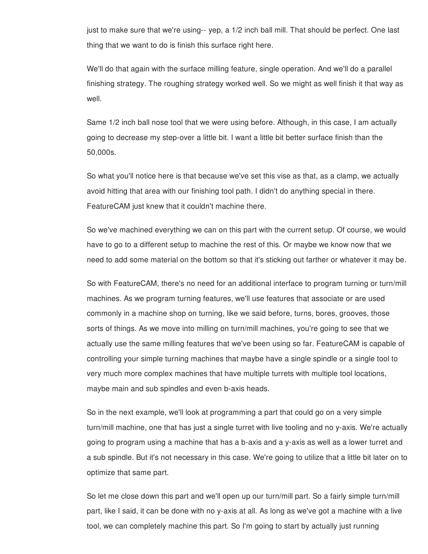just to make sure that we're using-- yep, a 1/2 inch ball mill. That should be perfect. One last thing that we want to do is finish this surface right here.

We'll do that again with the surface milling feature, single operation. And we'll do a parallel finishing strategy. The roughing strategy worked well. So we might as well finish it that way as well.

Same 1/2 inch ball nose tool that we were using before. Although, in this case, I am actually going to decrease my step-over a little bit. I want a little bit better surface finish than the 50,000s.

So what you'll notice here is that because we've set this vise as that, as a clamp, we actually avoid hitting that area with our finishing tool path. I didn't do anything special in there. FeatureCAM just knew that it couldn't machine there.

So we've machined everything we can on this part with the current setup. Of course, we would have to go to a different setup to machine the rest of this. Or maybe we know now that we need to add some material on the bottom so that it's sticking out farther or whatever it may be.

So with FeatureCAM, there's no need for an additional interface to program turning or turn/mill machines. As we program turning features, we'll use features that associate or are used commonly in a machine shop on turning, like we said before, turns, bores, grooves, those sorts of things. As we move into milling on turn/mill machines, you're going to see that we actually use the same milling features that we've been using so far. FeatureCAM is capable of controlling your simple turning machines that maybe have a single spindle or a single tool to very much more complex machines that have multiple turrets with multiple tool locations, maybe main and sub spindles and even b-axis heads.

So in the next example, we'll look at programming a part that could go on a very simple turn/mill machine, one that has just a single turret with live tooling and no y-axis. We're actually going to program using a machine that has a b-axis and a y-axis as well as a lower turret and a sub spindle. But it's not necessary in this case. We're going to utilize that a little bit later on to optimize that same part.

So let me close down this part and we'll open up our turn/mill part. So a fairly simple turn/mill part, like I said, it can be done with no y-axis at all. As long as we've got a machine with a live tool, we can completely machine this part. So I'm going to start by actually just running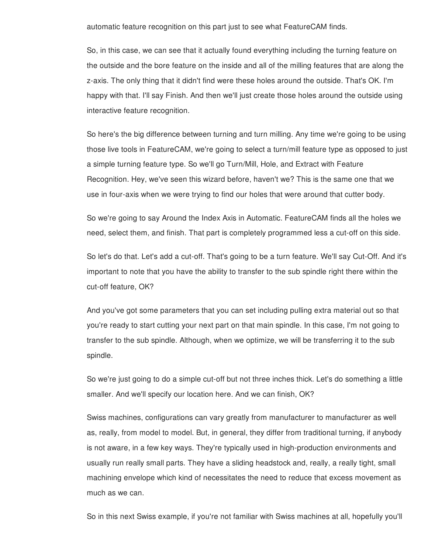automatic feature recognition on this part just to see what FeatureCAM finds.

So, in this case, we can see that it actually found everything including the turning feature on the outside and the bore feature on the inside and all of the milling features that are along the z-axis. The only thing that it didn't find were these holes around the outside. That's OK. I'm happy with that. I'll say Finish. And then we'll just create those holes around the outside using interactive feature recognition.

So here's the big difference between turning and turn milling. Any time we're going to be using those live tools in FeatureCAM, we're going to select a turn/mill feature type as opposed to just a simple turning feature type. So we'll go Turn/Mill, Hole, and Extract with Feature Recognition. Hey, we've seen this wizard before, haven't we? This is the same one that we use in four-axis when we were trying to find our holes that were around that cutter body.

So we're going to say Around the Index Axis in Automatic. FeatureCAM finds all the holes we need, select them, and finish. That part is completely programmed less a cut-off on this side.

So let's do that. Let's add a cut-off. That's going to be a turn feature. We'll say Cut-Off. And it's important to note that you have the ability to transfer to the sub spindle right there within the cut-off feature, OK?

And you've got some parameters that you can set including pulling extra material out so that you're ready to start cutting your next part on that main spindle. In this case, I'm not going to transfer to the sub spindle. Although, when we optimize, we will be transferring it to the sub spindle.

So we're just going to do a simple cut-off but not three inches thick. Let's do something a little smaller. And we'll specify our location here. And we can finish, OK?

Swiss machines, configurations can vary greatly from manufacturer to manufacturer as well as, really, from model to model. But, in general, they differ from traditional turning, if anybody is not aware, in a few key ways. They're typically used in high-production environments and usually run really small parts. They have a sliding headstock and, really, a really tight, small machining envelope which kind of necessitates the need to reduce that excess movement as much as we can.

So in this next Swiss example, if you're not familiar with Swiss machines at all, hopefully you'll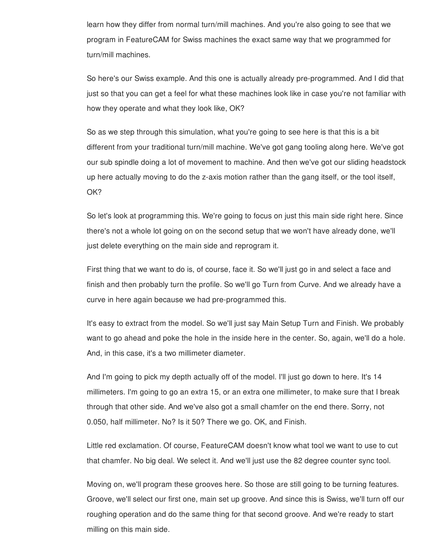learn how they differ from normal turn/mill machines. And you're also going to see that we program in FeatureCAM for Swiss machines the exact same way that we programmed for turn/mill machines.

So here's our Swiss example. And this one is actually already pre-programmed. And I did that just so that you can get a feel for what these machines look like in case you're not familiar with how they operate and what they look like, OK?

So as we step through this simulation, what you're going to see here is that this is a bit different from your traditional turn/mill machine. We've got gang tooling along here. We've got our sub spindle doing a lot of movement to machine. And then we've got our sliding headstock up here actually moving to do the z-axis motion rather than the gang itself, or the tool itself, OK?

So let's look at programming this. We're going to focus on just this main side right here. Since there's not a whole lot going on on the second setup that we won't have already done, we'll just delete everything on the main side and reprogram it.

First thing that we want to do is, of course, face it. So we'll just go in and select a face and finish and then probably turn the profile. So we'll go Turn from Curve. And we already have a curve in here again because we had pre-programmed this.

It's easy to extract from the model. So we'll just say Main Setup Turn and Finish. We probably want to go ahead and poke the hole in the inside here in the center. So, again, we'll do a hole. And, in this case, it's a two millimeter diameter.

And I'm going to pick my depth actually off of the model. I'll just go down to here. It's 14 millimeters. I'm going to go an extra 15, or an extra one millimeter, to make sure that I break through that other side. And we've also got a small chamfer on the end there. Sorry, not 0.050, half millimeter. No? Is it 50? There we go. OK, and Finish.

Little red exclamation. Of course, FeatureCAM doesn't know what tool we want to use to cut that chamfer. No big deal. We select it. And we'll just use the 82 degree counter sync tool.

Moving on, we'll program these grooves here. So those are still going to be turning features. Groove, we'll select our first one, main set up groove. And since this is Swiss, we'll turn off our roughing operation and do the same thing for that second groove. And we're ready to start milling on this main side.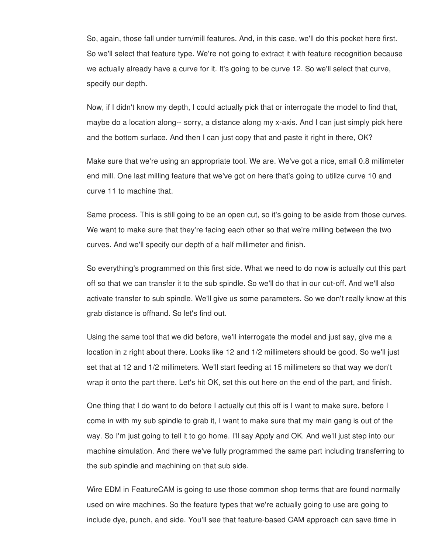So, again, those fall under turn/mill features. And, in this case, we'll do this pocket here first. So we'll select that feature type. We're not going to extract it with feature recognition because we actually already have a curve for it. It's going to be curve 12. So we'll select that curve, specify our depth.

Now, if I didn't know my depth, I could actually pick that or interrogate the model to find that, maybe do a location along-- sorry, a distance along my x-axis. And I can just simply pick here and the bottom surface. And then I can just copy that and paste it right in there, OK?

Make sure that we're using an appropriate tool. We are. We've got a nice, small 0.8 millimeter end mill. One last milling feature that we've got on here that's going to utilize curve 10 and curve 11 to machine that.

Same process. This is still going to be an open cut, so it's going to be aside from those curves. We want to make sure that they're facing each other so that we're milling between the two curves. And we'll specify our depth of a half millimeter and finish.

So everything's programmed on this first side. What we need to do now is actually cut this part off so that we can transfer it to the sub spindle. So we'll do that in our cut-off. And we'll also activate transfer to sub spindle. We'll give us some parameters. So we don't really know at this grab distance is offhand. So let's find out.

Using the same tool that we did before, we'll interrogate the model and just say, give me a location in z right about there. Looks like 12 and 1/2 millimeters should be good. So we'll just set that at 12 and 1/2 millimeters. We'll start feeding at 15 millimeters so that way we don't wrap it onto the part there. Let's hit OK, set this out here on the end of the part, and finish.

One thing that I do want to do before I actually cut this off is I want to make sure, before I come in with my sub spindle to grab it, I want to make sure that my main gang is out of the way. So I'm just going to tell it to go home. I'll say Apply and OK. And we'll just step into our machine simulation. And there we've fully programmed the same part including transferring to the sub spindle and machining on that sub side.

Wire EDM in FeatureCAM is going to use those common shop terms that are found normally used on wire machines. So the feature types that we're actually going to use are going to include dye, punch, and side. You'll see that feature-based CAM approach can save time in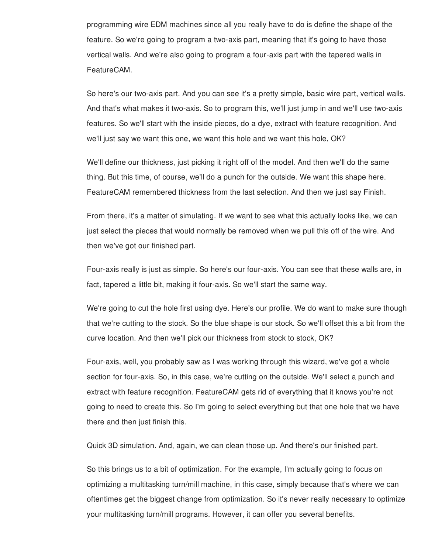programming wire EDM machines since all you really have to do is define the shape of the feature. So we're going to program a two-axis part, meaning that it's going to have those vertical walls. And we're also going to program a four-axis part with the tapered walls in FeatureCAM.

So here's our two-axis part. And you can see it's a pretty simple, basic wire part, vertical walls. And that's what makes it two-axis. So to program this, we'll just jump in and we'll use two-axis features. So we'll start with the inside pieces, do a dye, extract with feature recognition. And we'll just say we want this one, we want this hole and we want this hole, OK?

We'll define our thickness, just picking it right off of the model. And then we'll do the same thing. But this time, of course, we'll do a punch for the outside. We want this shape here. FeatureCAM remembered thickness from the last selection. And then we just say Finish.

From there, it's a matter of simulating. If we want to see what this actually looks like, we can just select the pieces that would normally be removed when we pull this off of the wire. And then we've got our finished part.

Four-axis really is just as simple. So here's our four-axis. You can see that these walls are, in fact, tapered a little bit, making it four-axis. So we'll start the same way.

We're going to cut the hole first using dye. Here's our profile. We do want to make sure though that we're cutting to the stock. So the blue shape is our stock. So we'll offset this a bit from the curve location. And then we'll pick our thickness from stock to stock, OK?

Four-axis, well, you probably saw as I was working through this wizard, we've got a whole section for four-axis. So, in this case, we're cutting on the outside. We'll select a punch and extract with feature recognition. FeatureCAM gets rid of everything that it knows you're not going to need to create this. So I'm going to select everything but that one hole that we have there and then just finish this.

Quick 3D simulation. And, again, we can clean those up. And there's our finished part.

So this brings us to a bit of optimization. For the example, I'm actually going to focus on optimizing a multitasking turn/mill machine, in this case, simply because that's where we can oftentimes get the biggest change from optimization. So it's never really necessary to optimize your multitasking turn/mill programs. However, it can offer you several benefits.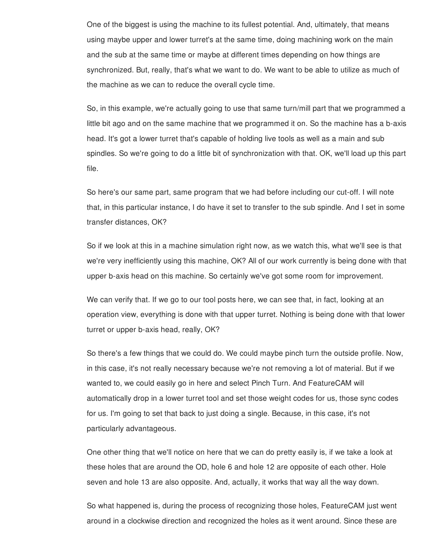One of the biggest is using the machine to its fullest potential. And, ultimately, that means using maybe upper and lower turret's at the same time, doing machining work on the main and the sub at the same time or maybe at different times depending on how things are synchronized. But, really, that's what we want to do. We want to be able to utilize as much of the machine as we can to reduce the overall cycle time.

So, in this example, we're actually going to use that same turn/mill part that we programmed a little bit ago and on the same machine that we programmed it on. So the machine has a b-axis head. It's got a lower turret that's capable of holding live tools as well as a main and sub spindles. So we're going to do a little bit of synchronization with that. OK, we'll load up this part file.

So here's our same part, same program that we had before including our cut-off. I will note that, in this particular instance, I do have it set to transfer to the sub spindle. And I set in some transfer distances, OK?

So if we look at this in a machine simulation right now, as we watch this, what we'll see is that we're very inefficiently using this machine, OK? All of our work currently is being done with that upper b-axis head on this machine. So certainly we've got some room for improvement.

We can verify that. If we go to our tool posts here, we can see that, in fact, looking at an operation view, everything is done with that upper turret. Nothing is being done with that lower turret or upper b-axis head, really, OK?

So there's a few things that we could do. We could maybe pinch turn the outside profile. Now, in this case, it's not really necessary because we're not removing a lot of material. But if we wanted to, we could easily go in here and select Pinch Turn. And FeatureCAM will automatically drop in a lower turret tool and set those weight codes for us, those sync codes for us. I'm going to set that back to just doing a single. Because, in this case, it's not particularly advantageous.

One other thing that we'll notice on here that we can do pretty easily is, if we take a look at these holes that are around the OD, hole 6 and hole 12 are opposite of each other. Hole seven and hole 13 are also opposite. And, actually, it works that way all the way down.

So what happened is, during the process of recognizing those holes, FeatureCAM just went around in a clockwise direction and recognized the holes as it went around. Since these are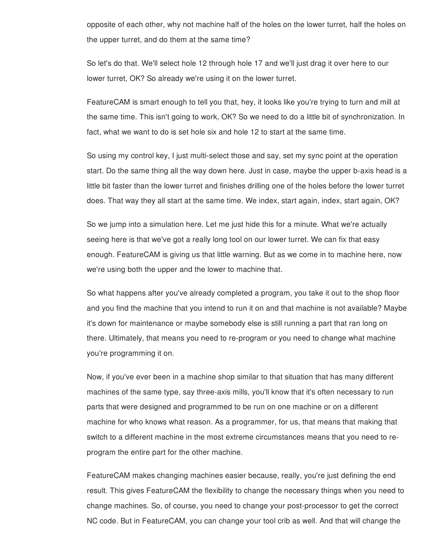opposite of each other, why not machine half of the holes on the lower turret, half the holes on the upper turret, and do them at the same time?

So let's do that. We'll select hole 12 through hole 17 and we'll just drag it over here to our lower turret, OK? So already we're using it on the lower turret.

FeatureCAM is smart enough to tell you that, hey, it looks like you're trying to turn and mill at the same time. This isn't going to work, OK? So we need to do a little bit of synchronization. In fact, what we want to do is set hole six and hole 12 to start at the same time.

So using my control key, I just multi-select those and say, set my sync point at the operation start. Do the same thing all the way down here. Just in case, maybe the upper b-axis head is a little bit faster than the lower turret and finishes drilling one of the holes before the lower turret does. That way they all start at the same time. We index, start again, index, start again, OK?

So we jump into a simulation here. Let me just hide this for a minute. What we're actually seeing here is that we've got a really long tool on our lower turret. We can fix that easy enough. FeatureCAM is giving us that little warning. But as we come in to machine here, now we're using both the upper and the lower to machine that.

So what happens after you've already completed a program, you take it out to the shop floor and you find the machine that you intend to run it on and that machine is not available? Maybe it's down for maintenance or maybe somebody else is still running a part that ran long on there. Ultimately, that means you need to re-program or you need to change what machine you're programming it on.

Now, if you've ever been in a machine shop similar to that situation that has many different machines of the same type, say three-axis mills, you'll know that it's often necessary to run parts that were designed and programmed to be run on one machine or on a different machine for who knows what reason. As a programmer, for us, that means that making that switch to a different machine in the most extreme circumstances means that you need to reprogram the entire part for the other machine.

FeatureCAM makes changing machines easier because, really, you're just defining the end result. This gives FeatureCAM the flexibility to change the necessary things when you need to change machines. So, of course, you need to change your post-processor to get the correct NC code. But in FeatureCAM, you can change your tool crib as well. And that will change the